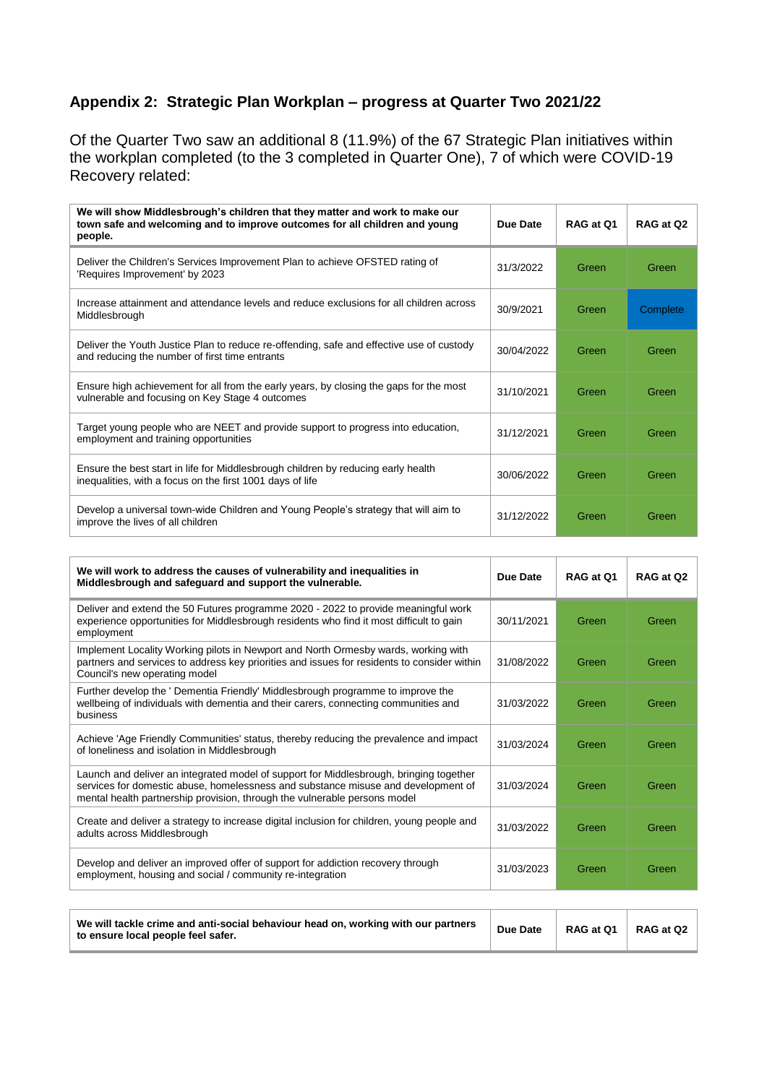## **Appendix 2: Strategic Plan Workplan – progress at Quarter Two 2021/22**

Of the Quarter Two saw an additional 8 (11.9%) of the 67 Strategic Plan initiatives within the workplan completed (to the 3 completed in Quarter One), 7 of which were COVID-19 Recovery related:

| We will show Middlesbrough's children that they matter and work to make our<br>town safe and welcoming and to improve outcomes for all children and young<br>people. | Due Date   | RAG at 01 | RAG at Q2 |
|----------------------------------------------------------------------------------------------------------------------------------------------------------------------|------------|-----------|-----------|
| Deliver the Children's Services Improvement Plan to achieve OFSTED rating of<br>'Requires Improvement' by 2023                                                       | 31/3/2022  | Green     | Green     |
| Increase attainment and attendance levels and reduce exclusions for all children across<br>Middlesbrough                                                             | 30/9/2021  | Green     | Complete  |
| Deliver the Youth Justice Plan to reduce re-offending, safe and effective use of custody<br>and reducing the number of first time entrants                           | 30/04/2022 | Green     | Green     |
| Ensure high achievement for all from the early years, by closing the gaps for the most<br>vulnerable and focusing on Key Stage 4 outcomes                            | 31/10/2021 | Green     | Green     |
| Target young people who are NEET and provide support to progress into education,<br>employment and training opportunities                                            | 31/12/2021 | Green     | Green     |
| Ensure the best start in life for Middlesbrough children by reducing early health<br>inequalities, with a focus on the first 1001 days of life                       | 30/06/2022 | Green     | Green     |
| Develop a universal town-wide Children and Young People's strategy that will aim to<br>improve the lives of all children                                             | 31/12/2022 | Green     | Green     |

| We will work to address the causes of vulnerability and inequalities in<br>Middlesbrough and safeguard and support the vulnerable.                                                                                                                       | Due Date   | RAG at Q1 | RAG at Q2 |
|----------------------------------------------------------------------------------------------------------------------------------------------------------------------------------------------------------------------------------------------------------|------------|-----------|-----------|
| Deliver and extend the 50 Futures programme 2020 - 2022 to provide meaningful work<br>experience opportunities for Middlesbrough residents who find it most difficult to gain<br>employment                                                              | 30/11/2021 | Green     | Green     |
| Implement Locality Working pilots in Newport and North Ormesby wards, working with<br>partners and services to address key priorities and issues for residents to consider within<br>Council's new operating model                                       | 31/08/2022 | Green     | Green     |
| Further develop the ' Dementia Friendly' Middlesbrough programme to improve the<br>wellbeing of individuals with dementia and their carers, connecting communities and<br>business                                                                       | 31/03/2022 | Green     | Green     |
| Achieve 'Age Friendly Communities' status, thereby reducing the prevalence and impact<br>of loneliness and isolation in Middlesbrough                                                                                                                    | 31/03/2024 | Green     | Green     |
| Launch and deliver an integrated model of support for Middlesbrough, bringing together<br>services for domestic abuse, homelessness and substance misuse and development of<br>mental health partnership provision, through the vulnerable persons model | 31/03/2024 | Green     | Green     |
| Create and deliver a strategy to increase digital inclusion for children, young people and<br>adults across Middlesbrough                                                                                                                                | 31/03/2022 | Green     | Green     |
| Develop and deliver an improved offer of support for addiction recovery through<br>employment, housing and social / community re-integration                                                                                                             | 31/03/2023 | Green     | Green     |

| We will tackle crime and anti-social behaviour head on, working with our partners<br>to ensure local people feel safer. | Due Date | RAG at Q1 | RAG at Q2 |
|-------------------------------------------------------------------------------------------------------------------------|----------|-----------|-----------|
|-------------------------------------------------------------------------------------------------------------------------|----------|-----------|-----------|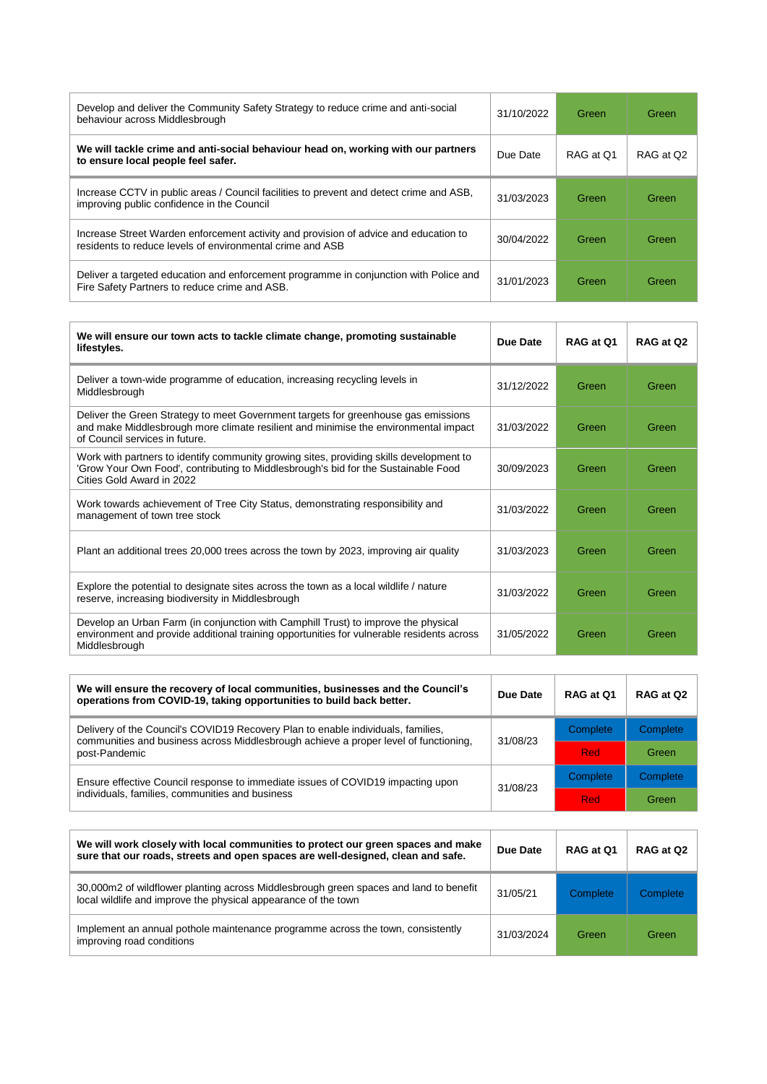| Develop and deliver the Community Safety Strategy to reduce crime and anti-social<br>behaviour across Middlesbrough                               | 31/10/2022 | Green     | Green     |
|---------------------------------------------------------------------------------------------------------------------------------------------------|------------|-----------|-----------|
| We will tackle crime and anti-social behaviour head on, working with our partners<br>to ensure local people feel safer.                           | Due Date   | RAG at Q1 | RAG at Q2 |
| Increase CCTV in public areas / Council facilities to prevent and detect crime and ASB,<br>improving public confidence in the Council             | 31/03/2023 | Green     | Green     |
| Increase Street Warden enforcement activity and provision of advice and education to<br>residents to reduce levels of environmental crime and ASB | 30/04/2022 | Green     | Green     |
| Deliver a targeted education and enforcement programme in conjunction with Police and<br>Fire Safety Partners to reduce crime and ASB.            | 31/01/2023 | Green     | Green     |

| We will ensure our town acts to tackle climate change, promoting sustainable<br>lifestyles.                                                                                                                 | Due Date   | RAG at O1 | RAG at Q2 |
|-------------------------------------------------------------------------------------------------------------------------------------------------------------------------------------------------------------|------------|-----------|-----------|
| Deliver a town-wide programme of education, increasing recycling levels in<br>Middlesbrough                                                                                                                 | 31/12/2022 | Green     | Green     |
| Deliver the Green Strategy to meet Government targets for greenhouse gas emissions<br>and make Middlesbrough more climate resilient and minimise the environmental impact<br>of Council services in future. | 31/03/2022 | Green     | Green     |
| Work with partners to identify community growing sites, providing skills development to<br>'Grow Your Own Food', contributing to Middlesbrough's bid for the Sustainable Food<br>Cities Gold Award in 2022  | 30/09/2023 | Green     | Green     |
| Work towards achievement of Tree City Status, demonstrating responsibility and<br>management of town tree stock                                                                                             | 31/03/2022 | Green     | Green     |
| Plant an additional trees 20,000 trees across the town by 2023, improving air quality                                                                                                                       | 31/03/2023 | Green     | Green     |
| Explore the potential to designate sites across the town as a local wildlife / nature<br>reserve, increasing biodiversity in Middlesbrough                                                                  | 31/03/2022 | Green     | Green     |
| Develop an Urban Farm (in conjunction with Camphill Trust) to improve the physical<br>environment and provide additional training opportunities for vulnerable residents across<br>Middlesbrough            | 31/05/2022 | Green     | Green     |

| We will ensure the recovery of local communities, businesses and the Council's<br>operations from COVID-19, taking opportunities to build back better.                                    | Due Date | RAG at Q1  | RAG at Q2 |
|-------------------------------------------------------------------------------------------------------------------------------------------------------------------------------------------|----------|------------|-----------|
| Delivery of the Council's COVID19 Recovery Plan to enable individuals, families,<br>communities and business across Middlesbrough achieve a proper level of functioning.<br>post-Pandemic | 31/08/23 | Complete   | Complete  |
|                                                                                                                                                                                           |          | <b>Red</b> | Green     |
| Ensure effective Council response to immediate issues of COVID19 impacting upon<br>individuals, families, communities and business                                                        | 31/08/23 | Complete   | Complete  |
|                                                                                                                                                                                           |          | <b>Red</b> | Green     |

| We will work closely with local communities to protect our green spaces and make<br>sure that our roads, streets and open spaces are well-designed, clean and safe. | Due Date   | RAG at 01 | RAG at Q2 |
|---------------------------------------------------------------------------------------------------------------------------------------------------------------------|------------|-----------|-----------|
| 30,000m2 of wildflower planting across Middlesbrough green spaces and land to benefit<br>local wildlife and improve the physical appearance of the town             | 31/05/21   | Complete  | Complete  |
| Implement an annual pothole maintenance programme across the town, consistently<br>improving road conditions                                                        | 31/03/2024 | Green     | Green     |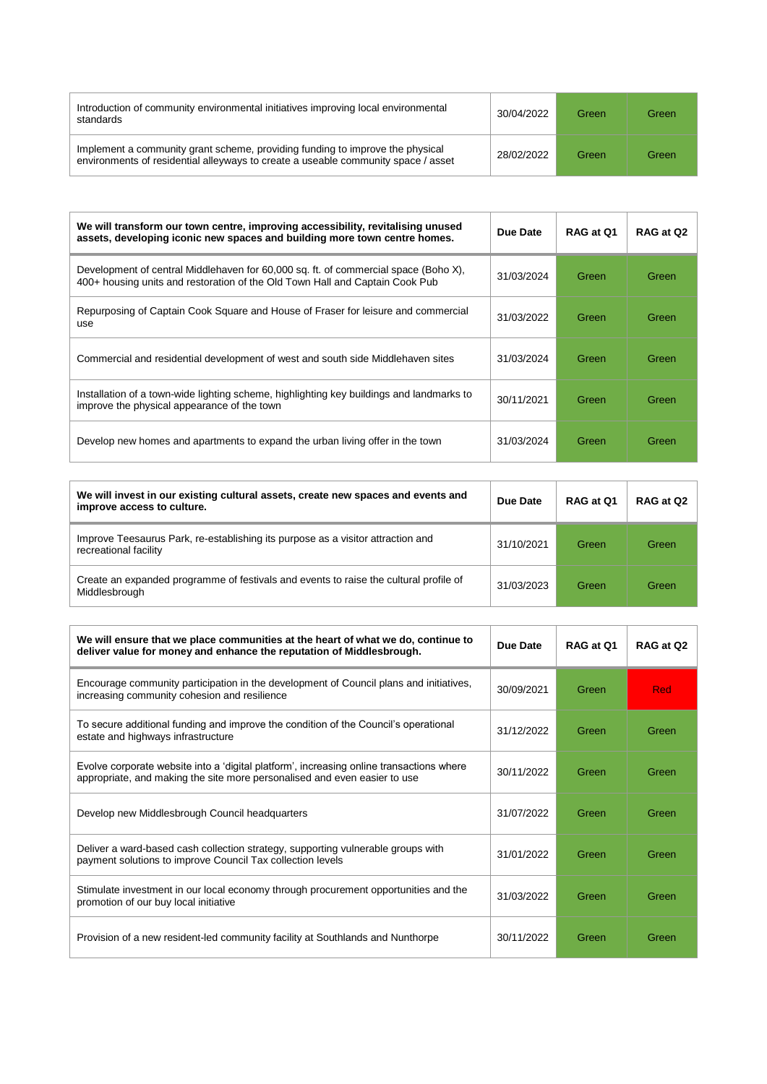| Introduction of community environmental initiatives improving local environmental<br>standards                                                                     | 30/04/2022 | Green | Green |
|--------------------------------------------------------------------------------------------------------------------------------------------------------------------|------------|-------|-------|
| Implement a community grant scheme, providing funding to improve the physical<br>environments of residential alleyways to create a useable community space / asset | 28/02/2022 | Green | Green |

<u> 1989 - Johann Stein, mars an t-Amerikaansk kommunister (</u>

| We will transform our town centre, improving accessibility, revitalising unused<br>assets, developing iconic new spaces and building more town centre homes.        | Due Date   | RAG at 01 | RAG at Q2 |
|---------------------------------------------------------------------------------------------------------------------------------------------------------------------|------------|-----------|-----------|
| Development of central Middlehaven for 60,000 sq. ft. of commercial space (Boho X),<br>400+ housing units and restoration of the Old Town Hall and Captain Cook Pub | 31/03/2024 | Green     | Green     |
| Repurposing of Captain Cook Square and House of Fraser for leisure and commercial<br>use                                                                            | 31/03/2022 | Green     | Green     |
| Commercial and residential development of west and south side Middlehaven sites                                                                                     | 31/03/2024 | Green     | Green     |
| Installation of a town-wide lighting scheme, highlighting key buildings and landmarks to<br>improve the physical appearance of the town                             | 30/11/2021 | Green     | Green     |
| Develop new homes and apartments to expand the urban living offer in the town                                                                                       | 31/03/2024 | Green     | Green     |

| We will invest in our existing cultural assets, create new spaces and events and<br>improve access to culture. | Due Date   | RAG at Q1 | RAG at Q2 |
|----------------------------------------------------------------------------------------------------------------|------------|-----------|-----------|
| Improve Teesaurus Park, re-establishing its purpose as a visitor attraction and<br>recreational facility       | 31/10/2021 | Green     | Green     |
| Create an expanded programme of festivals and events to raise the cultural profile of<br>Middlesbrough         | 31/03/2023 | Green     | Green     |

| We will ensure that we place communities at the heart of what we do, continue to<br>deliver value for money and enhance the reputation of Middlesbrough.              | Due Date   | RAG at 01 | RAG at Q2 |
|-----------------------------------------------------------------------------------------------------------------------------------------------------------------------|------------|-----------|-----------|
| Encourage community participation in the development of Council plans and initiatives,<br>increasing community cohesion and resilience                                | 30/09/2021 | Green     | Red       |
| To secure additional funding and improve the condition of the Council's operational<br>estate and highways infrastructure                                             | 31/12/2022 | Green     | Green     |
| Evolve corporate website into a 'digital platform', increasing online transactions where<br>appropriate, and making the site more personalised and even easier to use | 30/11/2022 | Green     | Green     |
| Develop new Middlesbrough Council headquarters                                                                                                                        | 31/07/2022 | Green     | Green     |
| Deliver a ward-based cash collection strategy, supporting vulnerable groups with<br>payment solutions to improve Council Tax collection levels                        | 31/01/2022 | Green     | Green     |
| Stimulate investment in our local economy through procurement opportunities and the<br>promotion of our buy local initiative                                          | 31/03/2022 | Green     | Green     |
| Provision of a new resident-led community facility at Southlands and Nunthorpe                                                                                        | 30/11/2022 | Green     | Green     |